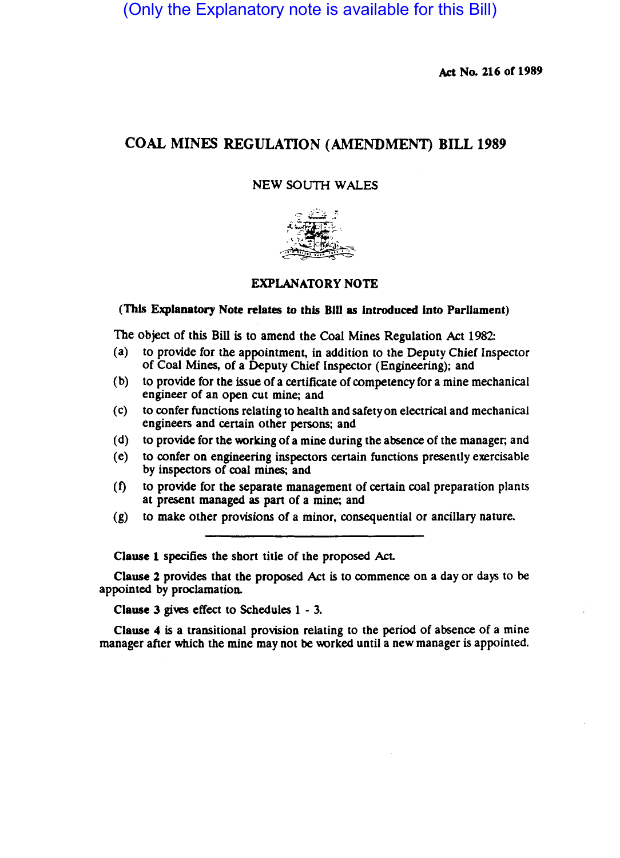(Only the Explanatory note is available for this Bill)

Act No. 216 of 1989

# COAL MINES REGULATION (AMENDMEN'I) BILL 1989

## NEW SOUTH WALES



# EXPLANATORY NOTE

#### (This Explanatory Note relates to this Bill as Introduced Into Parliament)

The object of this Bill is to amend the Coal Mines Regulation Act 1982:

- (a) to provide for the appointment, in addition to the Deputy Chief Inspector of Coal Mines, of a Deputy Chief Inspector (Engineering); and
- (b) to provide for the issue of a cenificate of competency for a mine mechanical engineer of an open cut mine; and
- (c) to confer functions relating to health and safety on electrical and mechanical engineers and certain other persons; and
- (d) to provide for the working of a mine during the absence of the manager; and
- (e) to confer on engineering inspectors certain functions presently exercisable by inspectors of coal mines; and
- (f) to provide for the separate management of certain coal preparation plants at present managed as part of a mine; and
- (g) to make other provisions of a minor, consequential or ancillary nature.

Clause 1 specifies the short title of the proposed Act.

Clause 2 provides that the proposed Act is to commence on a day or days to be appointed by proclamation.

Clause 3 gives effect to Schedules 1 - 3.

Clause 4 is a transitional provision relating to the period of absence of a mine manager after which the mine may not be worked until a new manager is appointed.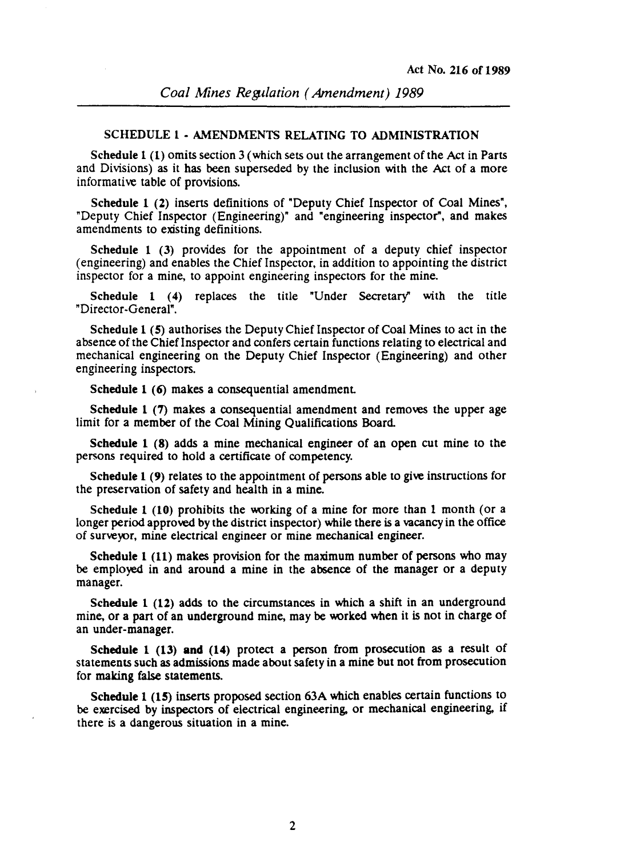#### SCHEDULE 1 • AMENDMENTS RELATING TO ADMINISTRATION

Schedule 1 (1) omits section 3 (which sets out the arrangement of the Act in Parts and Divisions) as it has been superseded by the inclusion with the Act of a more informative table of provisions.

Schedule 1 (2) inserts definitions of "Deputy Chief Inspector of Coal Mines", "Deputy Chief Inspector (Engineering)" and "engineering inspector", and makes amendments to existing definitions.

Schedule 1 (3) provides for the appointment of a deputy chief inspector (engineering) and enables the Chief Inspector. in addition to appointing the district inspector for a mine, to appoint engineering inspectors for the mine.

Schedule 1 (4) replaces the title "Under Secretary' with the title "Director-General".

Schedule 1 (S) authorises the Deputy Chief Inspector of Coal Mines to act in the absence of the Chief Inspector and confers certain functions relating to electrical and mechanical engineering on the Deputy Chief Inspector (Engineering) and other engineering inspectors.

Schedule 1 (6) makes a consequential amendment.

Schedule 1 (7) makes a consequential amendment and removes the upper age limit for a member of the Coal Mining Qualifications Board.

Schedule 1 (8) adds a mine mechanical engineer of an open cut mine to the persons required to hold a certificate of competency.

Schedule 1 (9) relates to the appointment of persons able to give instructions for the preservation of safety and health in a mine.

Schedule 1 (10) prohibits the working of a mine for more than 1 month (or a longer period approved by the district inspector) while there is a vacancy in the office of surveyor, mine electrical engineer or mine mechanical engineer.

Schedule 1 (11) makes provision for the maximum number of persons who may be employed in and around a mine in the absence of the manager or a deputy manager.

Schedule 1 (12) adds to the circumstances in which a shift in an underground mine, or a part of an underground mine, may be worked when it is not in charge of an under-manager.

Schedule 1 (13) **and** (14) protect a person from prosecution as a result of statements such as admissions made about safety in a mine but not from prosecution for making false statements.

Schedule 1 (15) inserts proposed section 63A which enables certain functions to be exercised by inspectors of electrical engineering, or mechanical engineering, if there is a dangerous situation in a mine.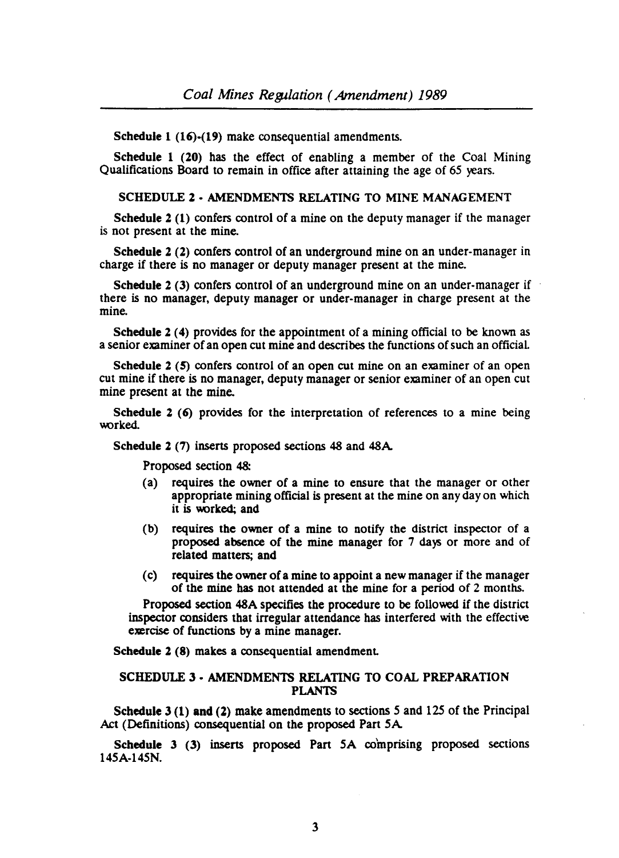Schedule 1 (16)-(19) make consequential amendments.

Schedule 1 (20) has the effect of enabling a member of the Coal Mining Qualifications Board to remain in office after attaining the age of 65 years.

#### SCHEDULE 2 - AMENDMENTS RELATING TO MINE MANAGEMENT

Schedule 2 (1) confers control of a mine on the deputy manager if the manager is not present at the mine.

Schedule 2 (2) confers control of an underground mine on an under-manager in charge if there is no manager or deputy manager present at the mine.

Schedule 2 (3) confers control of an underground mine on an under-manager if there is no manager, deputy manager or under-manager in charge present at the mine.

Schedule 2 (4) provides for the appointment of a mining official to be known as a senior examiner of an open cut mine and describes the functions of such an officiaL

Schedule 2 (5) confers control of an open cut mine on an examiner of an open cut mine if there is no manager, deputy manager or senior examiner of an open cut mine present at the mine.

Schedule 2 (6) provides for the interpretation of references to a mine being worked.

Schedule 2 (7) inserts proposed sections 48 and 48A

Proposed section 48:

- (a) requires the owner of a mine to ensure that the manager or other appropriate mining official is present at the mine on any day on which it is worked; and
- (b) requires the owner of a mine to notify the district inspector of a proposed absence of the mine manager for 7 days or more and of related matters; and
- (c) requires the owner of a mine to appoint a new manager if the manager of the mine bas not attended at the mine for a period of 2 months.

Proposed section 48A specifies the procedure to be followed if the district inspector considers that irregular attendance has interfered with the effective exercise of functions by a mine manager.

Schedule 2 (8) makes a consequential amendment.

## SCHEDULE 3 - AMENDMENTS RELATING TO COAL PREPARATION PLANTS

Schedule 3 (1) and (2) make amendments to sections 5 and 125 of the Principal Act (Definitions) consequential on the proposed Part SA

Schedule 3 (3) inserts proposed Part 5A comprising proposed sections 14SA·14SN.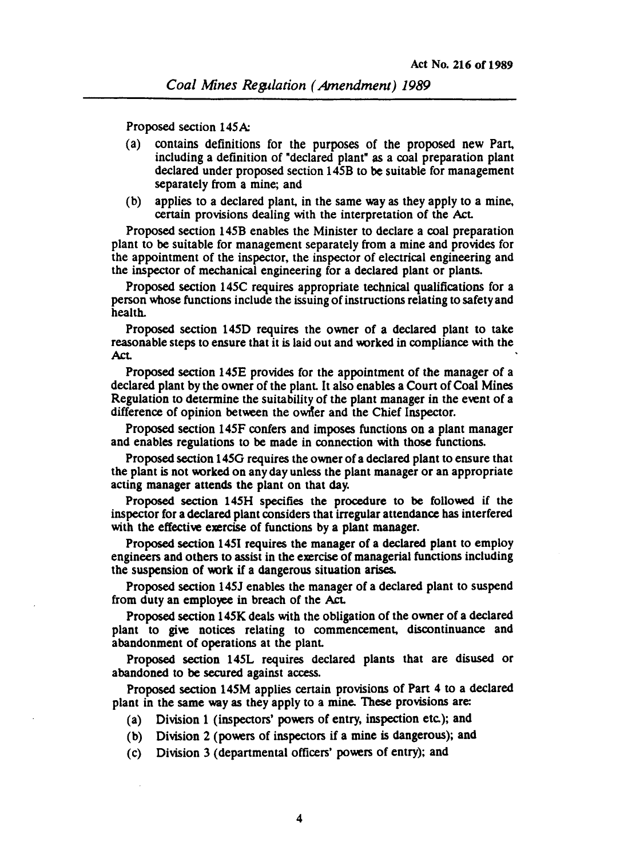Proposed section 145A:

- (a) contains definitions for the purposes of the proposed new Part. including a definition of "declared plant" as a coal preparation plant declared under proposed section 145B to be suitable for management separately from a mine; and
- (b) applies to a declared plant. in the same way as they apply to a mine, certain provisions dealing with the interpretation of the Act

Proposed section 145B enables the Minister to declare a coal preparation plant to be suitable for management separately from a mine and provides for the appointment of the inspector, the inspector of electrical engineering and the inspector of mechanical engineering for a declared plant or plants.

Proposed section 145C requires appropriate technical qualifications for a person whose functions include the issuing of instructions relating to safety and health.

Proposed section 145D requires the owner of a declared plant to take reasonable steps to ensure that it is laid out and worked in compliance with the Act

Proposed section 145E provides for the appointment of the manager of a declared plant by the owner of the plant. It also enables a Court of Coal Mines Regulation to determine the suitability of the plant manager in the event of a difference of opinion between the owner and the Chief Inspector.

Proposed section 145F confers and imposes functions on a plant manager and enables regulations to be made in connection with those functions.

Proposed section 1450 requires the owner of a declared plant to ensure that the plant is not worked on any day unless the plant manager or an appropriate acting manager attends the plant on that day.

Proposed section *14SH* specifies the procedure to be followed if the inspector for a declared plant considers that irregular attendance has interfered with the effective exercise of functions by a plant manager.

Proposed section 1451 requires the manager of a declared plant to employ engineers and others to assist in the exercise of managerial functions including the suspension of work if a dangerous situation arises.

Proposed section 145J enables the manager of a declared plant to suspend from duty an employee in breach of the Act.

Proposed section 145K deals with the obligation of the owner of a declared plant to give notices relating to commencement. discontinuance and abandonment of operations at the plant

Proposed section 145L requires declared plants that are disused or abandoned to be secured against access.

Proposed section 145M applies certain provisions of Part 4 to a declared plant in the same way as they apply to a mine. These provisions are:

- (a) Division 1 (inspectors' powers of entry, inspection etc.); and
- (b) Division 2 (powers of inspectors if a mine is dangerous); and
- (c) Division 3 (depanmental officers' powers of entry); and